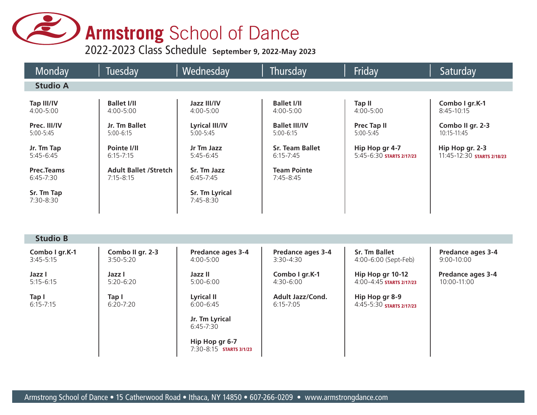# **Armstrong** School of Dance

2022-2023 Class Schedule **September 9, 2022-May 2023**

| Monday                             | Tuesday                                       | Wednesday                                 | Thursday                                 | Friday                                           | Saturday                                      |
|------------------------------------|-----------------------------------------------|-------------------------------------------|------------------------------------------|--------------------------------------------------|-----------------------------------------------|
| <b>Studio A</b>                    |                                               |                                           |                                          |                                                  |                                               |
| Tap III/IV<br>$4:00 - 5:00$        | <b>Ballet I/II</b><br>4:00-5:00               | Jazz III/IV<br>4:00-5:00                  | <b>Ballet I/II</b><br>4:00-5:00          | <b>Tap II</b><br>$4:00 - 5:00$                   | Combo I gr.K-1<br>$8:45 - 10:15$              |
| Prec. III/IV<br>$5:00 - 5:45$      | Jr. Tm Ballet<br>$5:00-6:15$                  | <b>Lyrical III/IV</b><br>$5:00 - 5:45$    | <b>Ballet III/IV</b><br>$5:00 - 6:15$    | <b>Prec Tap II</b><br>5:00-5:45                  | Combo II gr. 2-3<br>10:15-11:45               |
| Jr. Tm Tap<br>$5:45-6:45$          | Pointe I/II<br>$6:15 - 7:15$                  | Jr Tm Jazz<br>$5:45-6:45$                 | <b>Sr. Team Ballet</b><br>$6:15 - 7:45$  | Hip Hop gr 4-7<br>5:45-6:30 STARTS 2/17/23       | Hip Hop gr. 2-3<br>11:45-12:30 STARTS 2/18/23 |
| <b>Prec.Teams</b><br>$6:45 - 7:30$ | <b>Adult Ballet /Stretch</b><br>$7:15 - 8:15$ | Sr. Tm Jazz<br>$6:45 - 7:45$              | <b>Team Pointe</b><br>$7:45 - 8:45$      |                                                  |                                               |
| Sr. Tm Tap<br>7:30-8:30            |                                               | Sr. Tm Lyrical<br>7:45-8:30               |                                          |                                                  |                                               |
|                                    |                                               |                                           |                                          |                                                  |                                               |
| <b>Studio B</b>                    |                                               |                                           |                                          |                                                  |                                               |
| Combo I gr.K-1<br>$3:45 - 5:15$    | Combo II gr. 2-3<br>$3:50 - 5:20$             | Predance ages 3-4<br>$4:00 - 5:00$        | Predance ages 3-4<br>$3:30 - 4:30$       | <b>Sr. Tm Ballet</b><br>4:00-6:00 (Sept-Feb)     | Predance ages 3-4<br>$9:00 - 10:00$           |
| Jazz I<br>$5:15 - 6:15$            | Jazz I<br>$5:20 - 6:20$                       | Jazz II<br>$5:00 - 6:00$                  | Combo I gr.K-1<br>$4:30 - 6:00$          | Hip Hop gr 10-12<br>$4:00 - 4:45$ STARTS 2/17/23 | Predance ages 3-4<br>10:00-11:00              |
| Tap I<br>$6:15 - 7:15$             | Tap I<br>$6:20 - 7:20$                        | <b>Lyrical II</b><br>$6:00 - 6:45$        | <b>Adult Jazz/Cond.</b><br>$6:15 - 7:05$ | Hip Hop gr 8-9<br>4:45-5:30 STARTS 2/17/23       |                                               |
|                                    |                                               | Jr. Tm Lyrical<br>$6:45 - 7:30$           |                                          |                                                  |                                               |
|                                    |                                               | Hip Hop gr 6-7<br>7:30-8:15 STARTS 3/1/23 |                                          |                                                  |                                               |